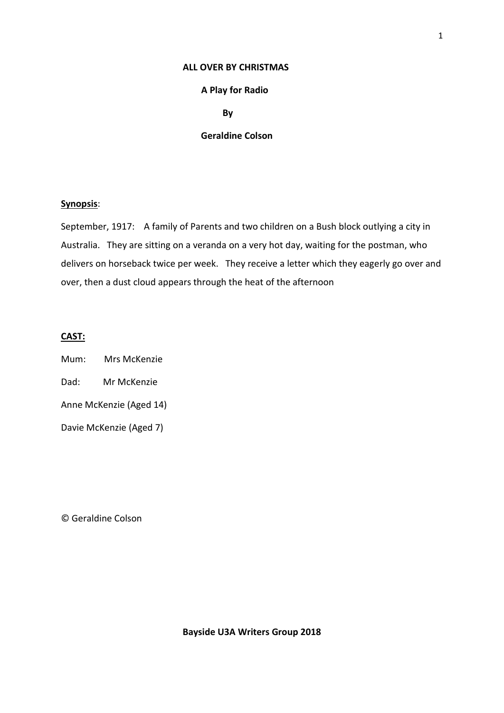### **ALL OVER BY CHRISTMAS**

### **A Play for Radio**

 **By**

## **Geraldine Colson**

#### **Synopsis**:

September, 1917: A family of Parents and two children on a Bush block outlying a city in Australia. They are sitting on a veranda on a very hot day, waiting for the postman, who delivers on horseback twice per week. They receive a letter which they eagerly go over and over, then a dust cloud appears through the heat of the afternoon

# **CAST:**

- Mum: Mrs McKenzie
- Dad: Mr McKenzie
- Anne McKenzie (Aged 14)
- Davie McKenzie (Aged 7)

© Geraldine Colson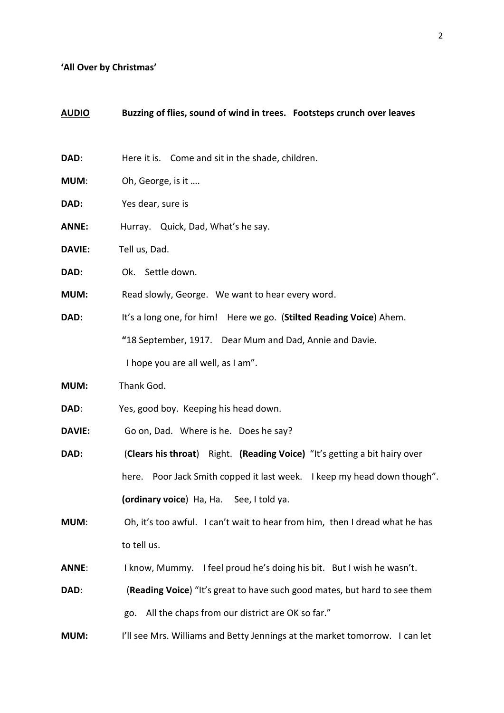# **'All Over by Christmas'**

| <u>AUDIO</u>  | Buzzing of flies, sound of wind in trees. Footsteps crunch over leaves      |
|---------------|-----------------------------------------------------------------------------|
| DAD:          | Here it is. Come and sit in the shade, children.                            |
| <b>MUM:</b>   | Oh, George, is it                                                           |
| DAD:          | Yes dear, sure is                                                           |
| <b>ANNE:</b>  | Hurray. Quick, Dad, What's he say.                                          |
| <b>DAVIE:</b> | Tell us, Dad.                                                               |
| DAD:          | Ok. Settle down.                                                            |
| <b>MUM:</b>   | Read slowly, George. We want to hear every word.                            |
| DAD:          | It's a long one, for him! Here we go. (Stilted Reading Voice) Ahem.         |
|               | "18 September, 1917. Dear Mum and Dad, Annie and Davie.                     |
|               | I hope you are all well, as I am".                                          |
| MUM:          | Thank God.                                                                  |
| DAD:          | Yes, good boy. Keeping his head down.                                       |
| <b>DAVIE:</b> | Go on, Dad. Where is he. Does he say?                                       |
| DAD:          | (Clears his throat) Right. (Reading Voice) "It's getting a bit hairy over   |
|               | here. Poor Jack Smith copped it last week. I keep my head down though".     |
|               | (ordinary voice) Ha, Ha. See, I told ya.                                    |
| <b>MUM:</b>   | Oh, it's too awful. I can't wait to hear from him, then I dread what he has |
|               | to tell us.                                                                 |
| <b>ANNE:</b>  | I know, Mummy. I feel proud he's doing his bit. But I wish he wasn't.       |
| DAD:          | (Reading Voice) "It's great to have such good mates, but hard to see them   |
|               | All the chaps from our district are OK so far."<br>go.                      |
| <b>MUM:</b>   | I'll see Mrs. Williams and Betty Jennings at the market tomorrow. I can let |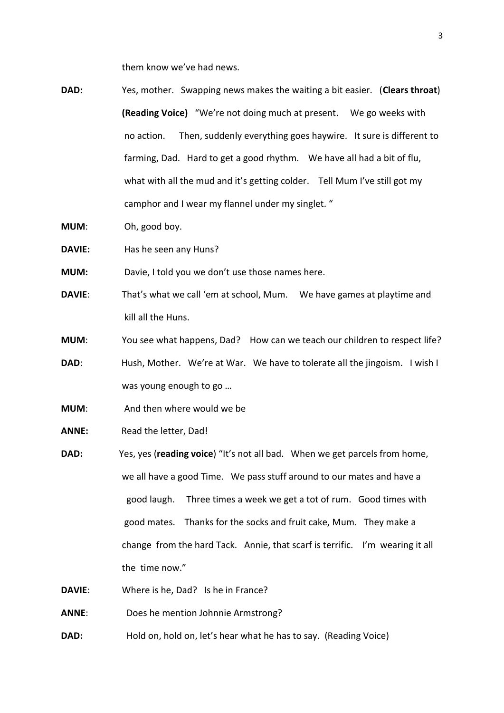them know we've had news.

- **DAD:** Yes, mother. Swapping news makes the waiting a bit easier. (**Clears throat**) **(Reading Voice)** "We're not doing much at present. We go weeks with no action.Then, suddenly everything goes haywire. It sure is different to farming, Dad. Hard to get a good rhythm. We have all had a bit of flu, what with all the mud and it's getting colder. Tell Mum I've still got my camphor and I wear my flannel under my singlet. "
- **MUM**: Oh, good boy.
- **DAVIE:** Has he seen any Huns?
- **MUM:** Davie, I told you we don't use those names here.
- **DAVIE**: That's what we call 'em at school, Mum. We have games at playtime and kill all the Huns.
- **MUM**: You see what happens, Dad? How can we teach our children to respect life?
- **DAD:** Hush, Mother. We're at War. We have to tolerate all the jingoism. I wish I was young enough to go …
- **MUM**: And then where would we be
- **ANNE:** Read the letter, Dad!
- **DAD:** Yes, yes (**reading voice**) "It's not all bad. When we get parcels from home, we all have a good Time. We pass stuff around to our mates and have a good laugh. Three times a week we get a tot of rum. Good times with good mates. Thanks for the socks and fruit cake, Mum. They make a change from the hard Tack. Annie, that scarf is terrific. I'm wearing it all the time now."
- **DAVIE**: Where is he, Dad? Is he in France?

**ANNE**: Does he mention Johnnie Armstrong?

**DAD:** Hold on, hold on, let's hear what he has to say. (Reading Voice)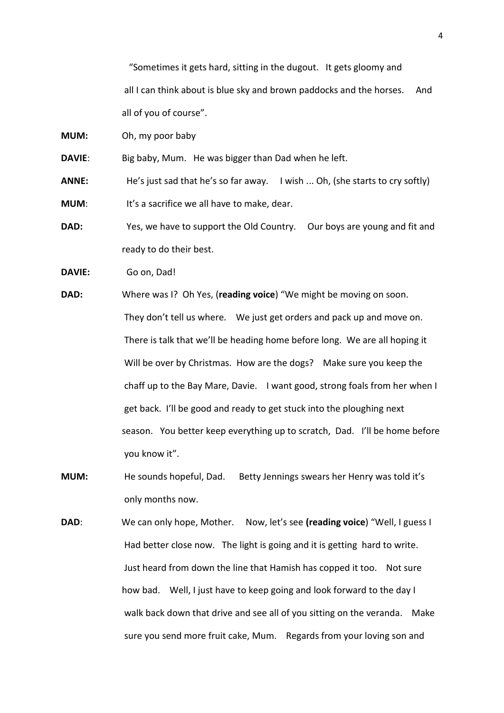"Sometimes it gets hard, sitting in the dugout. It gets gloomy and all I can think about is blue sky and brown paddocks and the horses. And all of you of course".

**MUM:** Oh, my poor baby

**DAVIE:** Big baby, Mum. He was bigger than Dad when he left.

**ANNE:** He's just sad that he's so far away. I wish ... Oh, (she starts to cry softly)

**MUM**: It's a sacrifice we all have to make, dear.

**DAD:** Yes, we have to support the Old Country. Our boys are young and fit and ready to do their best.

**DAVIE:** Go on, Dad!

**DAD:** Where was I? Oh Yes, (**reading voice**) "We might be moving on soon. They don't tell us where. We just get orders and pack up and move on. There is talk that we'll be heading home before long. We are all hoping it Will be over by Christmas. How are the dogs? Make sure you keep the chaff up to the Bay Mare, Davie. I want good, strong foals from her when I get back. I'll be good and ready to get stuck into the ploughing next season. You better keep everything up to scratch, Dad. I'll be home before you know it".

**MUM:** He sounds hopeful, Dad. Betty Jennings swears her Henry was told it's only months now.

**DAD**: We can only hope, Mother. Now, let's see **(reading voice**) "Well, I guess I Had better close now. The light is going and it is getting hard to write. Just heard from down the line that Hamish has copped it too. Not sure how bad. Well, I just have to keep going and look forward to the day I walk back down that drive and see all of you sitting on the veranda. Make sure you send more fruit cake, Mum. Regards from your loving son and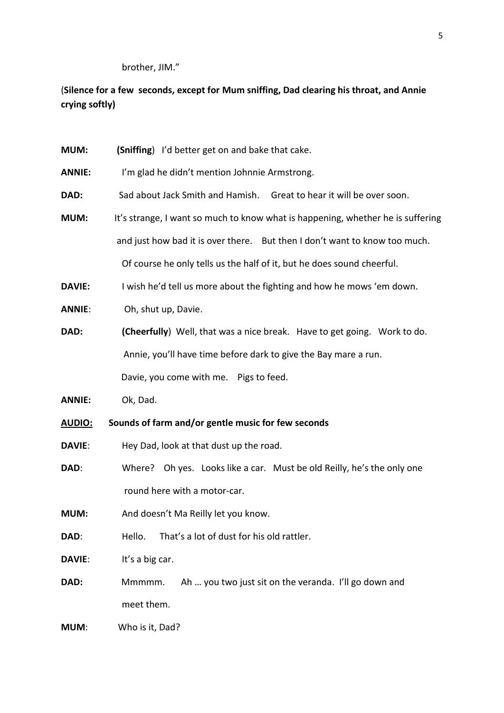brother, JIM."

# (**Silence for a few seconds, except for Mum sniffing, Dad clearing his throat, and Annie crying softly)**

| <b>MUM:</b>    | (Sniffing) I'd better get on and bake that cake.                                |
|----------------|---------------------------------------------------------------------------------|
| <b>ANNIE:</b>  | I'm glad he didn't mention Johnnie Armstrong.                                   |
| DAD:           | Sad about Jack Smith and Hamish. Great to hear it will be over soon.            |
| MUM:           | It's strange, I want so much to know what is happening, whether he is suffering |
|                | and just how bad it is over there. But then I don't want to know too much.      |
|                | Of course he only tells us the half of it, but he does sound cheerful.          |
| <b>DAVIE:</b>  | I wish he'd tell us more about the fighting and how he mows 'em down.           |
| <b>ANNIE:</b>  | Oh, shut up, Davie.                                                             |
| DAD:           | (Cheerfully) Well, that was a nice break. Have to get going. Work to do.        |
|                | Annie, you'll have time before dark to give the Bay mare a run.                 |
|                | Davie, you come with me. Pigs to feed.                                          |
| <b>ANNIE:</b>  | Ok, Dad.                                                                        |
| <u> AUDIO:</u> | Sounds of farm and/or gentle music for few seconds                              |
| DAVIE:         | Hey Dad, look at that dust up the road.                                         |
| DAD:           | Where? Oh yes. Looks like a car. Must be old Reilly, he's the only one          |
|                | round here with a motor-car.                                                    |
| <b>MUM:</b>    | And doesn't Ma Reilly let you know.                                             |
| DAD:           | That's a lot of dust for his old rattler.<br>Hello.                             |
| DAVIE:         | It's a big car.                                                                 |
| DAD:           | Ah  you two just sit on the veranda. I'll go down and<br>Mmmmm.                 |
|                | meet them.                                                                      |
| <b>MUM:</b>    | Who is it, Dad?                                                                 |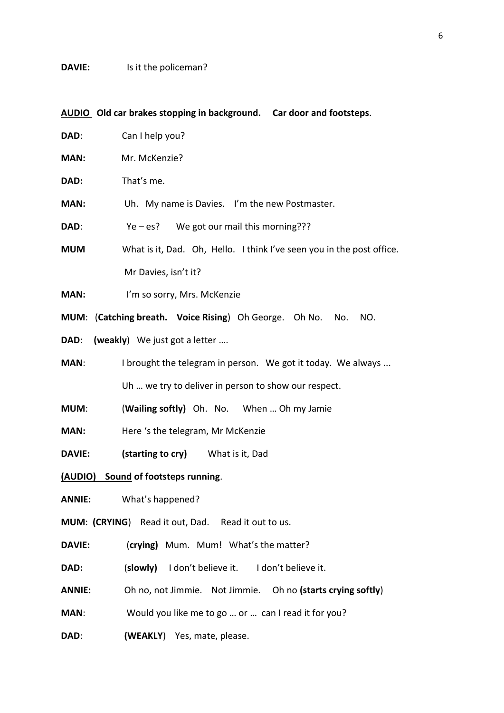# **DAVIE:** Is it the policeman?

|                                     | AUDIO Old car brakes stopping in background. Car door and footsteps.  |  |
|-------------------------------------|-----------------------------------------------------------------------|--|
| DAD:                                | Can I help you?                                                       |  |
| <b>MAN:</b>                         | Mr. McKenzie?                                                         |  |
| DAD:                                | That's me.                                                            |  |
| <b>MAN:</b>                         | Uh. My name is Davies. I'm the new Postmaster.                        |  |
| DAD:                                | $Ye - es?$ We got our mail this morning???                            |  |
| <b>MUM</b>                          | What is it, Dad. Oh, Hello. I think I've seen you in the post office. |  |
|                                     | Mr Davies, isn't it?                                                  |  |
| MAN:                                | I'm so sorry, Mrs. McKenzie                                           |  |
|                                     | MUM: (Catching breath. Voice Rising) Oh George. Oh No.<br>No.<br>NO.  |  |
| DAD:                                | (weakly) We just got a letter                                         |  |
| <b>MAN:</b>                         | I brought the telegram in person. We got it today. We always          |  |
|                                     | Uh  we try to deliver in person to show our respect.                  |  |
| <b>MUM:</b>                         | (Wailing softly) Oh. No. When  Oh my Jamie                            |  |
| <b>MAN:</b>                         | Here 's the telegram, Mr McKenzie                                     |  |
| <b>DAVIE:</b>                       | (starting to cry) What is it, Dad                                     |  |
| (AUDIO) Sound of footsteps running. |                                                                       |  |
| <b>ANNIE:</b>                       | What's happened?                                                      |  |
|                                     | MUM: (CRYING) Read it out, Dad. Read it out to us.                    |  |
| <b>DAVIE:</b>                       | (crying) Mum. Mum! What's the matter?                                 |  |
| DAD:                                | (slowly) I don't believe it. I don't believe it.                      |  |
| <b>ANNIE:</b>                       | Oh no, not Jimmie. Not Jimmie. Oh no (starts crying softly)           |  |
| MAN:                                | Would you like me to go  or  can I read it for you?                   |  |
| DAD:                                | (WEAKLY) Yes, mate, please.                                           |  |